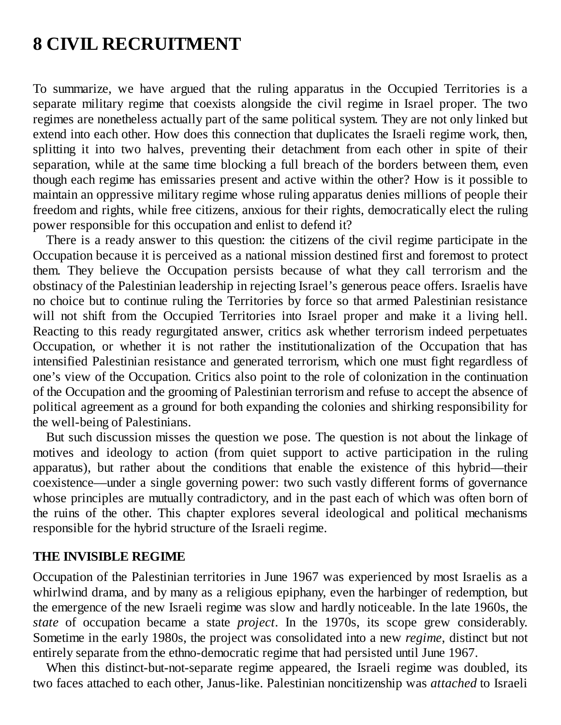# **8 CIVIL RECRUITMENT**

To summarize, we have argued that the ruling apparatus in the Occupied Territories is a separate military regime that coexists alongside the civil regime in Israel proper. The two regimes are nonetheless actually part of the same political system. They are not only linked but extend into each other. How does this connection that duplicates the Israeli regime work, then, splitting it into two halves, preventing their detachment from each other in spite of their separation, while at the same time blocking a full breach of the borders between them, even though each regime has emissaries present and active within the other? How is it possible to maintain an oppressive military regime whose ruling apparatus denies millions of people their freedom and rights, while free citizens, anxious for their rights, democratically elect the ruling power responsible for this occupation and enlist to defend it?

There is a ready answer to this question: the citizens of the civil regime participate in the Occupation because it is perceived as a national mission destined first and foremost to protect them. They believe the Occupation persists because of what they call terrorism and the obstinacy of the Palestinian leadership in rejecting Israel's generous peace offers. Israelis have no choice but to continue ruling the Territories by force so that armed Palestinian resistance will not shift from the Occupied Territories into Israel proper and make it a living hell. Reacting to this ready regurgitated answer, critics ask whether terrorism indeed perpetuates Occupation, or whether it is not rather the institutionalization of the Occupation that has intensified Palestinian resistance and generated terrorism, which one must fight regardless of one's view of the Occupation. Critics also point to the role of colonization in the continuation of the Occupation and the grooming of Palestinian terrorism and refuse to accept the absence of political agreement as a ground for both expanding the colonies and shirking responsibility for the well-being of Palestinians.

But such discussion misses the question we pose. The question is not about the linkage of motives and ideology to action (from quiet support to active participation in the ruling apparatus), but rather about the conditions that enable the existence of this hybrid—their coexistence—under a single governing power: two such vastly different forms of governance whose principles are mutually contradictory, and in the past each of which was often born of the ruins of the other. This chapter explores several ideological and political mechanisms responsible for the hybrid structure of the Israeli regime.

## **THE INVISIBLE REGIME**

Occupation of the Palestinian territories in June 1967 was experienced by most Israelis as a whirlwind drama, and by many as a religious epiphany, even the harbinger of redemption, but the emergence of the new Israeli regime was slow and hardly noticeable. In the late 1960s, the *state* of occupation became a state *project*. In the 1970s, its scope grew considerably. Sometime in the early 1980s, the project was consolidated into a new *regime*, distinct but not entirely separate from the ethno-democratic regime that had persisted until June 1967.

When this distinct-but-not-separate regime appeared, the Israeli regime was doubled, its two faces attached to each other, Janus-like. Palestinian noncitizenship was *attached* to Israeli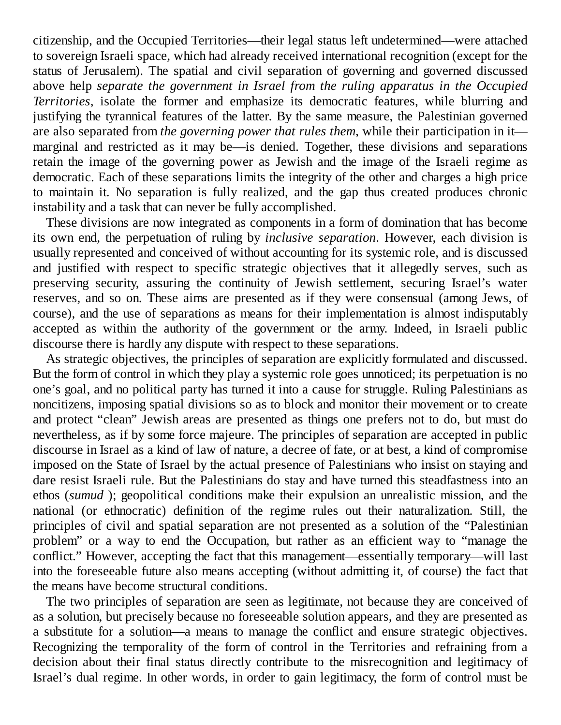citizenship, and the Occupied Territories—their legal status left undetermined—were attached to sovereign Israeli space, which had already received international recognition (except for the status of Jerusalem). The spatial and civil separation of governing and governed discussed above help *separate the government in Israel from the ruling apparatus in the Occupied Territories*, isolate the former and emphasize its democratic features, while blurring and justifying the tyrannical features of the latter. By the same measure, the Palestinian governed are also separated from *the governing power that rules them*, while their participation in it marginal and restricted as it may be—is denied. Together, these divisions and separations retain the image of the governing power as Jewish and the image of the Israeli regime as democratic. Each of these separations limits the integrity of the other and charges a high price to maintain it. No separation is fully realized, and the gap thus created produces chronic instability and a task that can never be fully accomplished.

These divisions are now integrated as components in a form of domination that has become its own end, the perpetuation of ruling by *inclusive separation*. However, each division is usually represented and conceived of without accounting for its systemic role, and is discussed and justified with respect to specific strategic objectives that it allegedly serves, such as preserving security, assuring the continuity of Jewish settlement, securing Israel's water reserves, and so on. These aims are presented as if they were consensual (among Jews, of course), and the use of separations as means for their implementation is almost indisputably accepted as within the authority of the government or the army. Indeed, in Israeli public discourse there is hardly any dispute with respect to these separations.

As strategic objectives, the principles of separation are explicitly formulated and discussed. But the form of control in which they play a systemic role goes unnoticed; its perpetuation is no one's goal, and no political party has turned it into a cause for struggle. Ruling Palestinians as noncitizens, imposing spatial divisions so as to block and monitor their movement or to create and protect "clean" Jewish areas are presented as things one prefers not to do, but must do nevertheless, as if by some force majeure. The principles of separation are accepted in public discourse in Israel as a kind of law of nature, a decree of fate, or at best, a kind of compromise imposed on the State of Israel by the actual presence of Palestinians who insist on staying and dare resist Israeli rule. But the Palestinians do stay and have turned this steadfastness into an ethos (*sumud* ); geopolitical conditions make their expulsion an unrealistic mission, and the national (or ethnocratic) definition of the regime rules out their naturalization. Still, the principles of civil and spatial separation are not presented as a solution of the "Palestinian problem" or a way to end the Occupation, but rather as an efficient way to "manage the conflict." However, accepting the fact that this management—essentially temporary—will last into the foreseeable future also means accepting (without admitting it, of course) the fact that the means have become structural conditions.

The two principles of separation are seen as legitimate, not because they are conceived of as a solution, but precisely because no foreseeable solution appears, and they are presented as a substitute for a solution—a means to manage the conflict and ensure strategic objectives. Recognizing the temporality of the form of control in the Territories and refraining from a decision about their final status directly contribute to the misrecognition and legitimacy of Israel's dual regime. In other words, in order to gain legitimacy, the form of control must be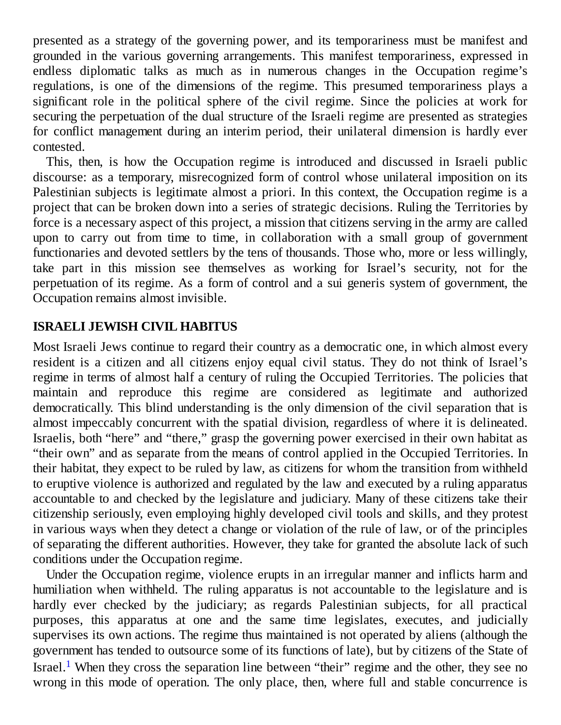presented as a strategy of the governing power, and its temporariness must be manifest and grounded in the various governing arrangements. This manifest temporariness, expressed in endless diplomatic talks as much as in numerous changes in the Occupation regime's regulations, is one of the dimensions of the regime. This presumed temporariness plays a significant role in the political sphere of the civil regime. Since the policies at work for securing the perpetuation of the dual structure of the Israeli regime are presented as strategies for conflict management during an interim period, their unilateral dimension is hardly ever contested.

This, then, is how the Occupation regime is introduced and discussed in Israeli public discourse: as a temporary, misrecognized form of control whose unilateral imposition on its Palestinian subjects is legitimate almost a priori. In this context, the Occupation regime is a project that can be broken down into a series of strategic decisions. Ruling the Territories by force is a necessary aspect of this project, a mission that citizens serving in the army are called upon to carry out from time to time, in collaboration with a small group of government functionaries and devoted settlers by the tens of thousands. Those who, more or less willingly, take part in this mission see themselves as working for Israel's security, not for the perpetuation of its regime. As a form of control and a sui generis system of government, the Occupation remains almost invisible.

## **ISRAELI JEWISH CIVIL HABITUS**

Most Israeli Jews continue to regard their country as a democratic one, in which almost every resident is a citizen and all citizens enjoy equal civil status. They do not think of Israel's regime in terms of almost half a century of ruling the Occupied Territories. The policies that maintain and reproduce this regime are considered as legitimate and authorized democratically. This blind understanding is the only dimension of the civil separation that is almost impeccably concurrent with the spatial division, regardless of where it is delineated. Israelis, both "here" and "there," grasp the governing power exercised in their own habitat as "their own" and as separate from the means of control applied in the Occupied Territories. In their habitat, they expect to be ruled by law, as citizens for whom the transition from withheld to eruptive violence is authorized and regulated by the law and executed by a ruling apparatus accountable to and checked by the legislature and judiciary. Many of these citizens take their citizenship seriously, even employing highly developed civil tools and skills, and they protest in various ways when they detect a change or violation of the rule of law, or of the principles of separating the different authorities. However, they take for granted the absolute lack of such conditions under the Occupation regime.

Under the Occupation regime, violence erupts in an irregular manner and inflicts harm and humiliation when withheld. The ruling apparatus is not accountable to the legislature and is hardly ever checked by the judiciary; as regards Palestinian subjects, for all practical purposes, this apparatus at one and the same time legislates, executes, and judicially supervises its own actions. The regime thus maintained is not operated by aliens (although the government has tended to outsource some of its functions of late), but by citizens of the State of Israel.<sup>1</sup> When they cross the separation line between "their" regime and the other, they see no wrong in this mode of operation. The only place, then, where full and stable concurrence is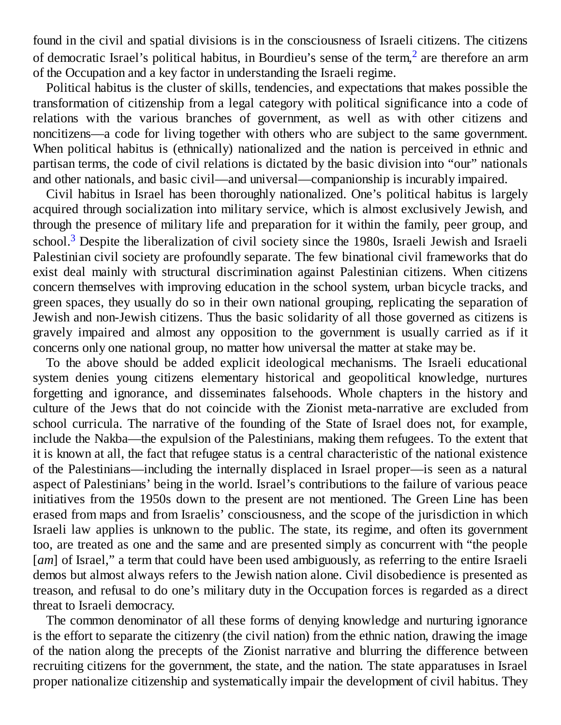found in the civil and spatial divisions is in the consciousness of Israeli citizens. The citizens of democratic Israel's political habitus, in Bourdieu's sense of the term,<sup>2</sup> are therefore an arm of the Occupation and a key factor in understanding the Israeli regime.

Political habitus is the cluster of skills, tendencies, and expectations that makes possible the transformation of citizenship from a legal category with political significance into a code of relations with the various branches of government, as well as with other citizens and noncitizens—a code for living together with others who are subject to the same government. When political habitus is (ethnically) nationalized and the nation is perceived in ethnic and partisan terms, the code of civil relations is dictated by the basic division into "our" nationals and other nationals, and basic civil—and universal—companionship is incurably impaired.

Civil habitus in Israel has been thoroughly nationalized. One's political habitus is largely acquired through socialization into military service, which is almost exclusively Jewish, and through the presence of military life and preparation for it within the family, peer group, and school.<sup>3</sup> Despite the liberalization of civil society since the 1980s, Israeli Jewish and Israeli Palestinian civil society are profoundly separate. The few binational civil frameworks that do exist deal mainly with structural discrimination against Palestinian citizens. When citizens concern themselves with improving education in the school system, urban bicycle tracks, and green spaces, they usually do so in their own national grouping, replicating the separation of Jewish and non-Jewish citizens. Thus the basic solidarity of all those governed as citizens is gravely impaired and almost any opposition to the government is usually carried as if it concerns only one national group, no matter how universal the matter at stake may be.

To the above should be added explicit ideological mechanisms. The Israeli educational system denies young citizens elementary historical and geopolitical knowledge, nurtures forgetting and ignorance, and disseminates falsehoods. Whole chapters in the history and culture of the Jews that do not coincide with the Zionist meta-narrative are excluded from school curricula. The narrative of the founding of the State of Israel does not, for example, include the Nakba—the expulsion of the Palestinians, making them refugees. To the extent that it is known at all, the fact that refugee status is a central characteristic of the national existence of the Palestinians—including the internally displaced in Israel proper—is seen as a natural aspect of Palestinians' being in the world. Israel's contributions to the failure of various peace initiatives from the 1950s down to the present are not mentioned. The Green Line has been erased from maps and from Israelis' consciousness, and the scope of the jurisdiction in which Israeli law applies is unknown to the public. The state, its regime, and often its government too, are treated as one and the same and are presented simply as concurrent with "the people [*am*] of Israel," a term that could have been used ambiguously, as referring to the entire Israeli demos but almost always refers to the Jewish nation alone. Civil disobedience is presented as treason, and refusal to do one's military duty in the Occupation forces is regarded as a direct threat to Israeli democracy.

The common denominator of all these forms of denying knowledge and nurturing ignorance is the effort to separate the citizenry (the civil nation) from the ethnic nation, drawing the image of the nation along the precepts of the Zionist narrative and blurring the difference between recruiting citizens for the government, the state, and the nation. The state apparatuses in Israel proper nationalize citizenship and systematically impair the development of civil habitus. They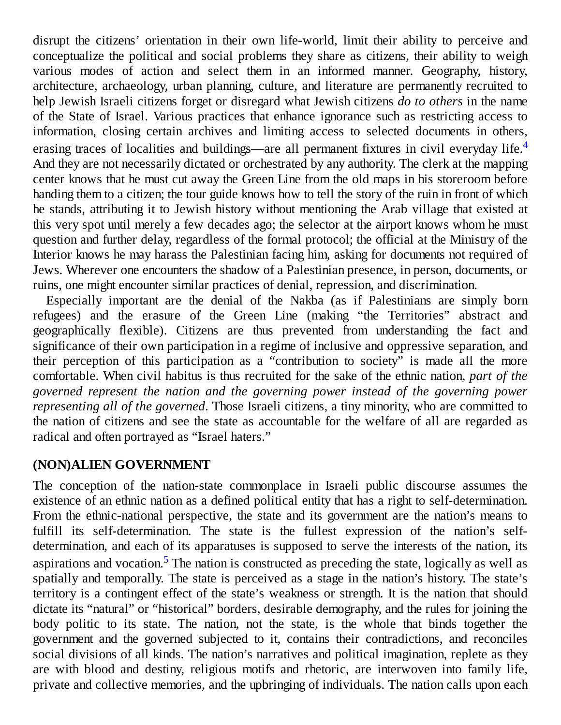disrupt the citizens' orientation in their own life-world, limit their ability to perceive and conceptualize the political and social problems they share as citizens, their ability to weigh various modes of action and select them in an informed manner. Geography, history, architecture, archaeology, urban planning, culture, and literature are permanently recruited to help Jewish Israeli citizens forget or disregard what Jewish citizens *do to others* in the name of the State of Israel. Various practices that enhance ignorance such as restricting access to information, closing certain archives and limiting access to selected documents in others, erasing traces of localities and buildings—are all permanent fixtures in civil everyday life.<sup>4</sup> And they are not necessarily dictated or orchestrated by any authority. The clerk at the mapping center knows that he must cut away the Green Line from the old maps in his storeroom before handing them to a citizen; the tour guide knows how to tell the story of the ruin in front of which he stands, attributing it to Jewish history without mentioning the Arab village that existed at this very spot until merely a few decades ago; the selector at the airport knows whom he must question and further delay, regardless of the formal protocol; the official at the Ministry of the Interior knows he may harass the Palestinian facing him, asking for documents not required of Jews. Wherever one encounters the shadow of a Palestinian presence, in person, documents, or ruins, one might encounter similar practices of denial, repression, and discrimination.

Especially important are the denial of the Nakba (as if Palestinians are simply born refugees) and the erasure of the Green Line (making "the Territories" abstract and geographically flexible). Citizens are thus prevented from understanding the fact and significance of their own participation in a regime of inclusive and oppressive separation, and their perception of this participation as a "contribution to society" is made all the more comfortable. When civil habitus is thus recruited for the sake of the ethnic nation, *part of the governed represent the nation and the governing power instead of the governing power representing all of the governed*. Those Israeli citizens, a tiny minority, who are committed to the nation of citizens and see the state as accountable for the welfare of all are regarded as radical and often portrayed as "Israel haters."

## **(NON)ALIEN GOVERNMENT**

The conception of the nation-state commonplace in Israeli public discourse assumes the existence of an ethnic nation as a defined political entity that has a right to self-determination. From the ethnic-national perspective, the state and its government are the nation's means to fulfill its self-determination. The state is the fullest expression of the nation's selfdetermination, and each of its apparatuses is supposed to serve the interests of the nation, its aspirations and vocation.<sup>5</sup> The nation is constructed as preceding the state, logically as well as spatially and temporally. The state is perceived as a stage in the nation's history. The state's territory is a contingent effect of the state's weakness or strength. It is the nation that should dictate its "natural" or "historical" borders, desirable demography, and the rules for joining the body politic to its state. The nation, not the state, is the whole that binds together the government and the governed subjected to it, contains their contradictions, and reconciles social divisions of all kinds. The nation's narratives and political imagination, replete as they are with blood and destiny, religious motifs and rhetoric, are interwoven into family life, private and collective memories, and the upbringing of individuals. The nation calls upon each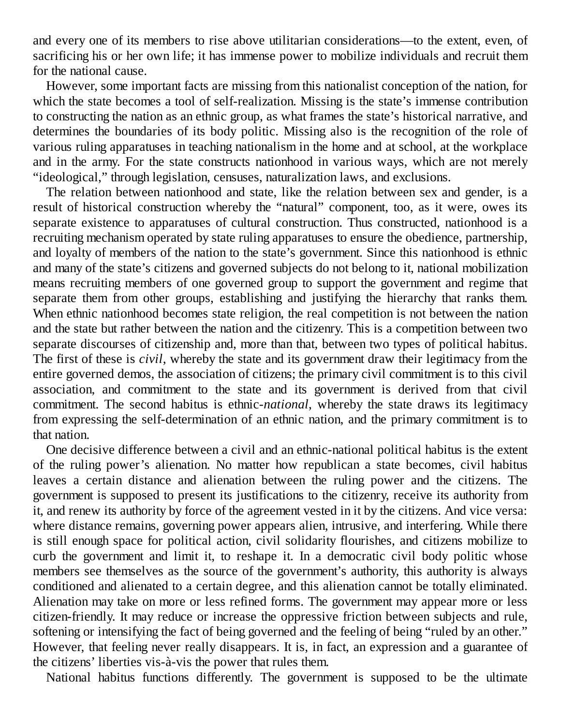and every one of its members to rise above utilitarian considerations—to the extent, even, of sacrificing his or her own life; it has immense power to mobilize individuals and recruit them for the national cause.

However, some important facts are missing from this nationalist conception of the nation, for which the state becomes a tool of self-realization. Missing is the state's immense contribution to constructing the nation as an ethnic group, as what frames the state's historical narrative, and determines the boundaries of its body politic. Missing also is the recognition of the role of various ruling apparatuses in teaching nationalism in the home and at school, at the workplace and in the army. For the state constructs nationhood in various ways, which are not merely "ideological," through legislation, censuses, naturalization laws, and exclusions.

The relation between nationhood and state, like the relation between sex and gender, is a result of historical construction whereby the "natural" component, too, as it were, owes its separate existence to apparatuses of cultural construction. Thus constructed, nationhood is a recruiting mechanism operated by state ruling apparatuses to ensure the obedience, partnership, and loyalty of members of the nation to the state's government. Since this nationhood is ethnic and many of the state's citizens and governed subjects do not belong to it, national mobilization means recruiting members of one governed group to support the government and regime that separate them from other groups, establishing and justifying the hierarchy that ranks them. When ethnic nationhood becomes state religion, the real competition is not between the nation and the state but rather between the nation and the citizenry. This is a competition between two separate discourses of citizenship and, more than that, between two types of political habitus. The first of these is *civil*, whereby the state and its government draw their legitimacy from the entire governed demos, the association of citizens; the primary civil commitment is to this civil association, and commitment to the state and its government is derived from that civil commitment. The second habitus is ethnic-*national*, whereby the state draws its legitimacy from expressing the self-determination of an ethnic nation, and the primary commitment is to that nation.

One decisive difference between a civil and an ethnic-national political habitus is the extent of the ruling power's alienation. No matter how republican a state becomes, civil habitus leaves a certain distance and alienation between the ruling power and the citizens. The government is supposed to present its justifications to the citizenry, receive its authority from it, and renew its authority by force of the agreement vested in it by the citizens. And vice versa: where distance remains, governing power appears alien, intrusive, and interfering. While there is still enough space for political action, civil solidarity flourishes, and citizens mobilize to curb the government and limit it, to reshape it. In a democratic civil body politic whose members see themselves as the source of the government's authority, this authority is always conditioned and alienated to a certain degree, and this alienation cannot be totally eliminated. Alienation may take on more or less refined forms. The government may appear more or less citizen-friendly. It may reduce or increase the oppressive friction between subjects and rule, softening or intensifying the fact of being governed and the feeling of being "ruled by an other." However, that feeling never really disappears. It is, in fact, an expression and a guarantee of the citizens' liberties vis-à-vis the power that rules them.

National habitus functions differently. The government is supposed to be the ultimate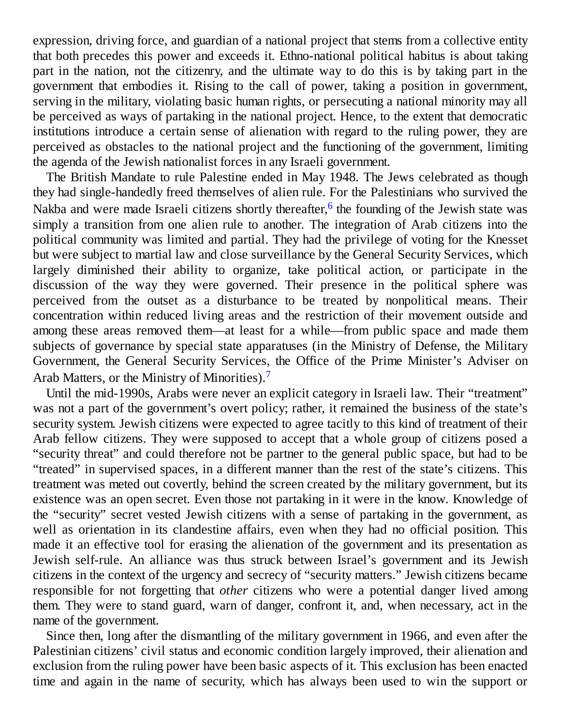expression, driving force, and guardian of a national project that stems from a collective entity that both precedes this power and exceeds it. Ethno-national political habitus is about taking part in the nation, not the citizenry, and the ultimate way to do this is by taking part in the government that embodies it. Rising to the call of power, taking a position in government, serving in the military, violating basic human rights, or persecuting a national minority may all be perceived as ways of partaking in the national project. Hence, to the extent that democratic institutions introduce a certain sense of alienation with regard to the ruling power, they are perceived as obstacles to the national project and the functioning of the government, limiting the agenda of the Jewish nationalist forces in any Israeli government.

The British Mandate to rule Palestine ended in May 1948. The Jews celebrated as though they had single-handedly freed themselves of alien rule. For the Palestinians who survived the Nakba and were made Israeli citizens shortly thereafter,<sup>6</sup> the founding of the Jewish state was simply a transition from one alien rule to another. The integration of Arab citizens into the political community was limited and partial. They had the privilege of voting for the Knesset but were subject to martial law and close surveillance by the General Security Services, which largely diminished their ability to organize, take political action, or participate in the discussion of the way they were governed. Their presence in the political sphere was perceived from the outset as a disturbance to be treated by nonpolitical means. Their concentration within reduced living areas and the restriction of their movement outside and among these areas removed them—at least for a while—from public space and made them subjects of governance by special state apparatuses (in the Ministry of Defense, the Military Government, the General Security Services, the Office of the Prime Minister's Adviser on Arab Matters, or the Ministry of Minorities).<sup>7</sup>

Until the mid-1990s, Arabs were never an explicit category in Israeli law. Their "treatment" was not a part of the government's overt policy; rather, it remained the business of the state's security system. Jewish citizens were expected to agree tacitly to this kind of treatment of their Arab fellow citizens. They were supposed to accept that a whole group of citizens posed a "security threat" and could therefore not be partner to the general public space, but had to be "treated" in supervised spaces, in a different manner than the rest of the state's citizens. This treatment was meted out covertly, behind the screen created by the military government, but its existence was an open secret. Even those not partaking in it were in the know. Knowledge of the "security" secret vested Jewish citizens with a sense of partaking in the government, as well as orientation in its clandestine affairs, even when they had no official position. This made it an effective tool for erasing the alienation of the government and its presentation as Jewish self-rule. An alliance was thus struck between Israel's government and its Jewish citizens in the context of the urgency and secrecy of "security matters." Jewish citizens became responsible for not forgetting that *other* citizens who were a potential danger lived among them. They were to stand guard, warn of danger, confront it, and, when necessary, act in the name of the government.

Since then, long after the dismantling of the military government in 1966, and even after the Palestinian citizens' civil status and economic condition largely improved, their alienation and exclusion from the ruling power have been basic aspects of it. This exclusion has been enacted time and again in the name of security, which has always been used to win the support or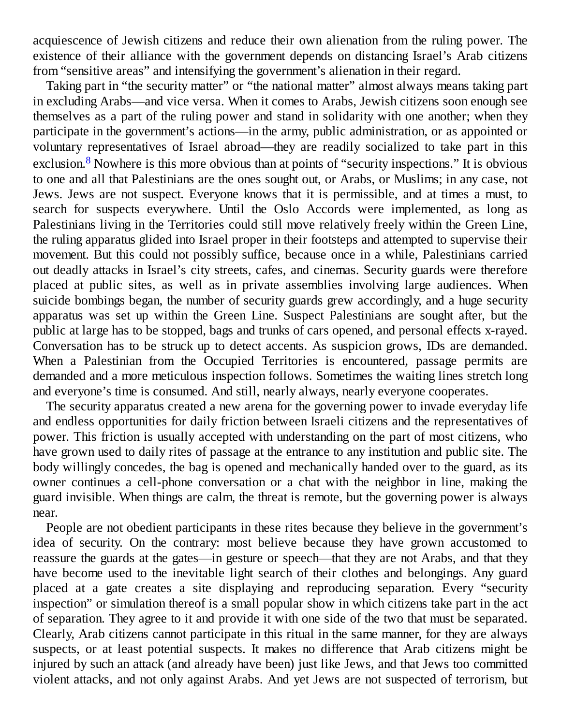acquiescence of Jewish citizens and reduce their own alienation from the ruling power. The existence of their alliance with the government depends on distancing Israel's Arab citizens from "sensitive areas" and intensifying the government's alienation in their regard.

Taking part in "the security matter" or "the national matter" almost always means taking part in excluding Arabs—and vice versa. When it comes to Arabs, Jewish citizens soon enough see themselves as a part of the ruling power and stand in solidarity with one another; when they participate in the government's actions—in the army, public administration, or as appointed or voluntary representatives of Israel abroad—they are readily socialized to take part in this exclusion.<sup>8</sup> Nowhere is this more obvious than at points of "security inspections." It is obvious to one and all that Palestinians are the ones sought out, or Arabs, or Muslims; in any case, not Jews. Jews are not suspect. Everyone knows that it is permissible, and at times a must, to search for suspects everywhere. Until the Oslo Accords were implemented, as long as Palestinians living in the Territories could still move relatively freely within the Green Line, the ruling apparatus glided into Israel proper in their footsteps and attempted to supervise their movement. But this could not possibly suffice, because once in a while, Palestinians carried out deadly attacks in Israel's city streets, cafes, and cinemas. Security guards were therefore placed at public sites, as well as in private assemblies involving large audiences. When suicide bombings began, the number of security guards grew accordingly, and a huge security apparatus was set up within the Green Line. Suspect Palestinians are sought after, but the public at large has to be stopped, bags and trunks of cars opened, and personal effects x-rayed. Conversation has to be struck up to detect accents. As suspicion grows, IDs are demanded. When a Palestinian from the Occupied Territories is encountered, passage permits are demanded and a more meticulous inspection follows. Sometimes the waiting lines stretch long and everyone's time is consumed. And still, nearly always, nearly everyone cooperates.

The security apparatus created a new arena for the governing power to invade everyday life and endless opportunities for daily friction between Israeli citizens and the representatives of power. This friction is usually accepted with understanding on the part of most citizens, who have grown used to daily rites of passage at the entrance to any institution and public site. The body willingly concedes, the bag is opened and mechanically handed over to the guard, as its owner continues a cell-phone conversation or a chat with the neighbor in line, making the guard invisible. When things are calm, the threat is remote, but the governing power is always near.

People are not obedient participants in these rites because they believe in the government's idea of security. On the contrary: most believe because they have grown accustomed to reassure the guards at the gates—in gesture or speech—that they are not Arabs, and that they have become used to the inevitable light search of their clothes and belongings. Any guard placed at a gate creates a site displaying and reproducing separation. Every "security inspection" or simulation thereof is a small popular show in which citizens take part in the act of separation. They agree to it and provide it with one side of the two that must be separated. Clearly, Arab citizens cannot participate in this ritual in the same manner, for they are always suspects, or at least potential suspects. It makes no difference that Arab citizens might be injured by such an attack (and already have been) just like Jews, and that Jews too committed violent attacks, and not only against Arabs. And yet Jews are not suspected of terrorism, but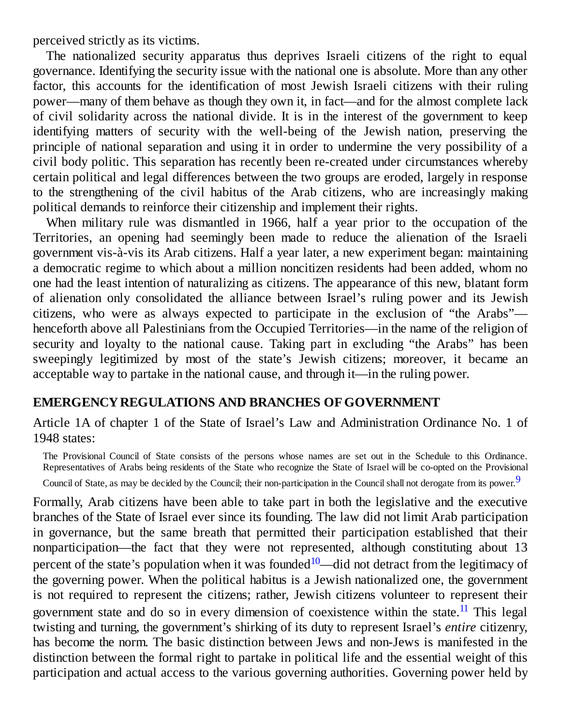perceived strictly as its victims.

The nationalized security apparatus thus deprives Israeli citizens of the right to equal governance. Identifying the security issue with the national one is absolute. More than any other factor, this accounts for the identification of most Jewish Israeli citizens with their ruling power—many of them behave as though they own it, in fact—and for the almost complete lack of civil solidarity across the national divide. It is in the interest of the government to keep identifying matters of security with the well-being of the Jewish nation, preserving the principle of national separation and using it in order to undermine the very possibility of a civil body politic. This separation has recently been re-created under circumstances whereby certain political and legal differences between the two groups are eroded, largely in response to the strengthening of the civil habitus of the Arab citizens, who are increasingly making political demands to reinforce their citizenship and implement their rights.

When military rule was dismantled in 1966, half a year prior to the occupation of the Territories, an opening had seemingly been made to reduce the alienation of the Israeli government vis-à-vis its Arab citizens. Half a year later, a new experiment began: maintaining a democratic regime to which about a million noncitizen residents had been added, whom no one had the least intention of naturalizing as citizens. The appearance of this new, blatant form of alienation only consolidated the alliance between Israel's ruling power and its Jewish citizens, who were as always expected to participate in the exclusion of "the Arabs" henceforth above all Palestinians from the Occupied Territories—in the name of the religion of security and loyalty to the national cause. Taking part in excluding "the Arabs" has been sweepingly legitimized by most of the state's Jewish citizens; moreover, it became an acceptable way to partake in the national cause, and through it—in the ruling power.

## **EMERGENCYREGULATIONS AND BRANCHES OFGOVERNMENT**

Article 1A of chapter 1 of the State of Israel's Law and Administration Ordinance No. 1 of 1948 states:

The Provisional Council of State consists of the persons whose names are set out in the Schedule to this Ordinance. Representatives of Arabs being residents of the State who recognize the State of Israel will be co-opted on the Provisional

Council of State, as may be decided by the Council; their non-participation in the Council shall not derogate from its power.<sup>9</sup>

Formally, Arab citizens have been able to take part in both the legislative and the executive branches of the State of Israel ever since its founding. The law did not limit Arab participation in governance, but the same breath that permitted their participation established that their nonparticipation—the fact that they were not represented, although constituting about 13 percent of the state's population when it was founded<sup>10</sup>—did not detract from the legitimacy of the governing power. When the political habitus is a Jewish nationalized one, the government is not required to represent the citizens; rather, Jewish citizens volunteer to represent their government state and do so in every dimension of coexistence within the state.<sup>11</sup> This legal twisting and turning, the government's shirking of its duty to represent Israel's *entire* citizenry, has become the norm. The basic distinction between Jews and non-Jews is manifested in the distinction between the formal right to partake in political life and the essential weight of this participation and actual access to the various governing authorities. Governing power held by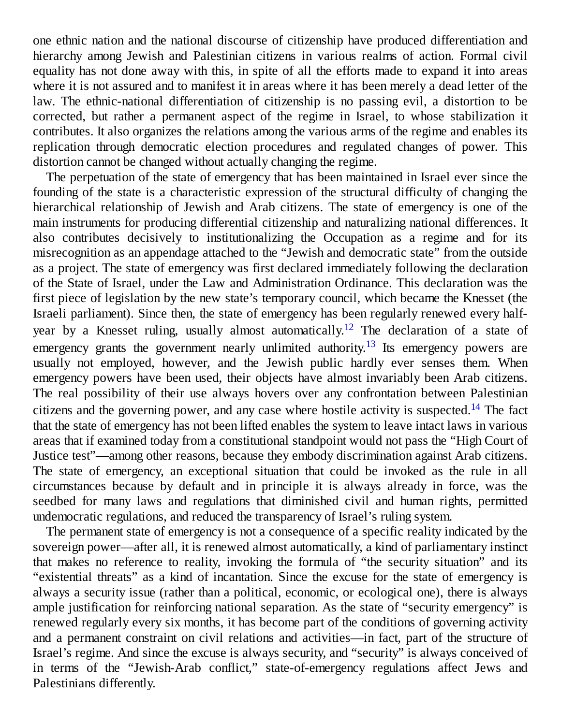one ethnic nation and the national discourse of citizenship have produced differentiation and hierarchy among Jewish and Palestinian citizens in various realms of action. Formal civil equality has not done away with this, in spite of all the efforts made to expand it into areas where it is not assured and to manifest it in areas where it has been merely a dead letter of the law. The ethnic-national differentiation of citizenship is no passing evil, a distortion to be corrected, but rather a permanent aspect of the regime in Israel, to whose stabilization it contributes. It also organizes the relations among the various arms of the regime and enables its replication through democratic election procedures and regulated changes of power. This distortion cannot be changed without actually changing the regime.

The perpetuation of the state of emergency that has been maintained in Israel ever since the founding of the state is a characteristic expression of the structural difficulty of changing the hierarchical relationship of Jewish and Arab citizens. The state of emergency is one of the main instruments for producing differential citizenship and naturalizing national differences. It also contributes decisively to institutionalizing the Occupation as a regime and for its misrecognition as an appendage attached to the "Jewish and democratic state" from the outside as a project. The state of emergency was first declared immediately following the declaration of the State of Israel, under the Law and Administration Ordinance. This declaration was the first piece of legislation by the new state's temporary council, which became the Knesset (the Israeli parliament). Since then, the state of emergency has been regularly renewed every halfyear by a Knesset ruling, usually almost automatically.<sup>12</sup> The declaration of a state of emergency grants the government nearly unlimited authority.<sup>13</sup> Its emergency powers are usually not employed, however, and the Jewish public hardly ever senses them. When emergency powers have been used, their objects have almost invariably been Arab citizens. The real possibility of their use always hovers over any confrontation between Palestinian citizens and the governing power, and any case where hostile activity is suspected.<sup>14</sup> The fact that the state of emergency has not been lifted enables the system to leave intact laws in various areas that if examined today from a constitutional standpoint would not pass the "High Court of Justice test"—among other reasons, because they embody discrimination against Arab citizens. The state of emergency, an exceptional situation that could be invoked as the rule in all circumstances because by default and in principle it is always already in force, was the seedbed for many laws and regulations that diminished civil and human rights, permitted undemocratic regulations, and reduced the transparency of Israel's ruling system.

The permanent state of emergency is not a consequence of a specific reality indicated by the sovereign power—after all, it is renewed almost automatically, a kind of parliamentary instinct that makes no reference to reality, invoking the formula of "the security situation" and its "existential threats" as a kind of incantation. Since the excuse for the state of emergency is always a security issue (rather than a political, economic, or ecological one), there is always ample justification for reinforcing national separation. As the state of "security emergency" is renewed regularly every six months, it has become part of the conditions of governing activity and a permanent constraint on civil relations and activities—in fact, part of the structure of Israel's regime. And since the excuse is always security, and "security" is always conceived of in terms of the "Jewish-Arab conflict," state-of-emergency regulations affect Jews and Palestinians differently.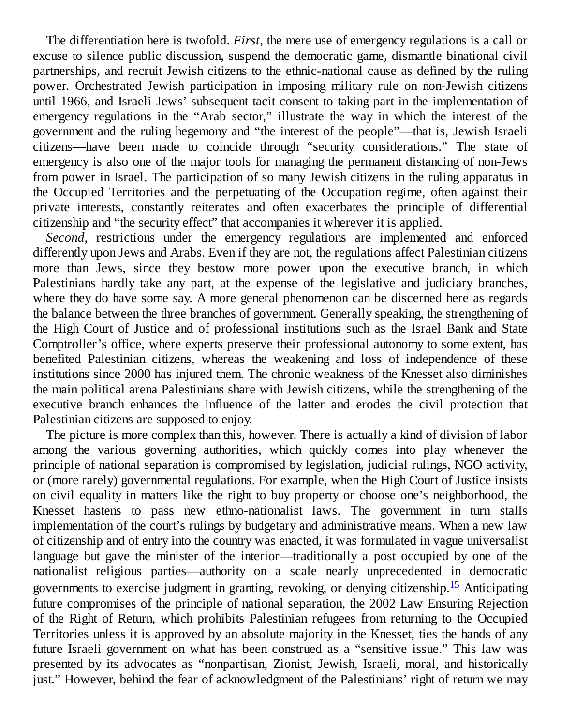The differentiation here is twofold. *First*, the mere use of emergency regulations is a call or excuse to silence public discussion, suspend the democratic game, dismantle binational civil partnerships, and recruit Jewish citizens to the ethnic-national cause as defined by the ruling power. Orchestrated Jewish participation in imposing military rule on non-Jewish citizens until 1966, and Israeli Jews' subsequent tacit consent to taking part in the implementation of emergency regulations in the "Arab sector," illustrate the way in which the interest of the government and the ruling hegemony and "the interest of the people"—that is, Jewish Israeli citizens—have been made to coincide through "security considerations." The state of emergency is also one of the major tools for managing the permanent distancing of non-Jews from power in Israel. The participation of so many Jewish citizens in the ruling apparatus in the Occupied Territories and the perpetuating of the Occupation regime, often against their private interests, constantly reiterates and often exacerbates the principle of differential citizenship and "the security effect" that accompanies it wherever it is applied.

*Second*, restrictions under the emergency regulations are implemented and enforced differently upon Jews and Arabs. Even if they are not, the regulations affect Palestinian citizens more than Jews, since they bestow more power upon the executive branch, in which Palestinians hardly take any part, at the expense of the legislative and judiciary branches, where they do have some say. A more general phenomenon can be discerned here as regards the balance between the three branches of government. Generally speaking, the strengthening of the High Court of Justice and of professional institutions such as the Israel Bank and State Comptroller's office, where experts preserve their professional autonomy to some extent, has benefited Palestinian citizens, whereas the weakening and loss of independence of these institutions since 2000 has injured them. The chronic weakness of the Knesset also diminishes the main political arena Palestinians share with Jewish citizens, while the strengthening of the executive branch enhances the influence of the latter and erodes the civil protection that Palestinian citizens are supposed to enjoy.

The picture is more complex than this, however. There is actually a kind of division of labor among the various governing authorities, which quickly comes into play whenever the principle of national separation is compromised by legislation, judicial rulings, NGO activity, or (more rarely) governmental regulations. For example, when the High Court of Justice insists on civil equality in matters like the right to buy property or choose one's neighborhood, the Knesset hastens to pass new ethno-nationalist laws. The government in turn stalls implementation of the court's rulings by budgetary and administrative means. When a new law of citizenship and of entry into the country was enacted, it was formulated in vague universalist language but gave the minister of the interior—traditionally a post occupied by one of the nationalist religious parties—authority on a scale nearly unprecedented in democratic governments to exercise judgment in granting, revoking, or denying citizenship.<sup>15</sup> Anticipating future compromises of the principle of national separation, the 2002 Law Ensuring Rejection of the Right of Return, which prohibits Palestinian refugees from returning to the Occupied Territories unless it is approved by an absolute majority in the Knesset, ties the hands of any future Israeli government on what has been construed as a "sensitive issue." This law was presented by its advocates as "nonpartisan, Zionist, Jewish, Israeli, moral, and historically just." However, behind the fear of acknowledgment of the Palestinians' right of return we may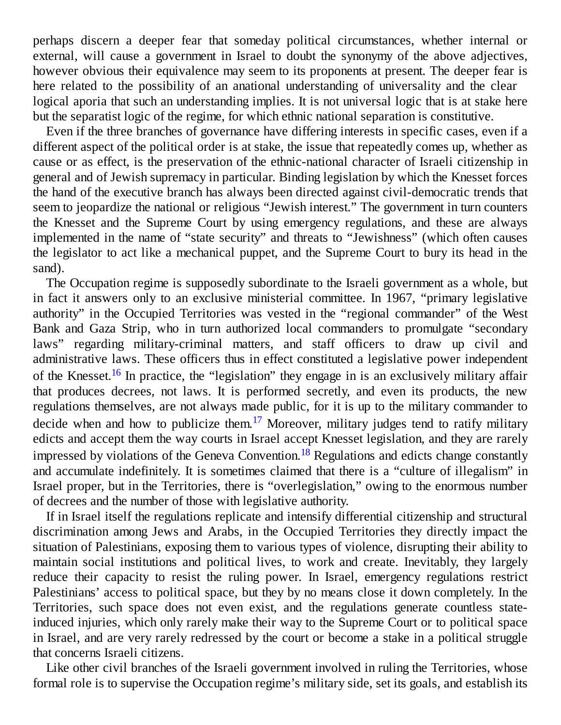perhaps discern a deeper fear that someday political circumstances, whether internal or external, will cause a government in Israel to doubt the synonymy of the above adjectives, however obvious their equivalence may seem to its proponents at present. The deeper fear is here related to the possibility of an anational understanding of universality and the clear logical aporia that such an understanding implies. It is not universal logic that is at stake here but the separatist logic of the regime, for which ethnic national separation is constitutive.

Even if the three branches of governance have differing interests in specific cases, even if a different aspect of the political order is at stake, the issue that repeatedly comes up, whether as cause or as effect, is the preservation of the ethnic-national character of Israeli citizenship in general and of Jewish supremacy in particular. Binding legislation by which the Knesset forces the hand of the executive branch has always been directed against civil-democratic trends that seem to jeopardize the national or religious "Jewish interest." The government in turn counters the Knesset and the Supreme Court by using emergency regulations, and these are always implemented in the name of "state security" and threats to "Jewishness" (which often causes the legislator to act like a mechanical puppet, and the Supreme Court to bury its head in the sand).

The Occupation regime is supposedly subordinate to the Israeli government as a whole, but in fact it answers only to an exclusive ministerial committee. In 1967, "primary legislative authority" in the Occupied Territories was vested in the "regional commander" of the West Bank and Gaza Strip, who in turn authorized local commanders to promulgate "secondary laws" regarding military-criminal matters, and staff officers to draw up civil and administrative laws. These officers thus in effect constituted a legislative power independent of the Knesset.<sup>16</sup> In practice, the "legislation" they engage in is an exclusively military affair that produces decrees, not laws. It is performed secretly, and even its products, the new regulations themselves, are not always made public, for it is up to the military commander to decide when and how to publicize them.<sup>17</sup> Moreover, military judges tend to ratify military edicts and accept them the way courts in Israel accept Knesset legislation, and they are rarely impressed by violations of the Geneva Convention.<sup>18</sup> Regulations and edicts change constantly and accumulate indefinitely. It is sometimes claimed that there is a "culture of illegalism" in Israel proper, but in the Territories, there is "overlegislation," owing to the enormous number of decrees and the number of those with legislative authority.

If in Israel itself the regulations replicate and intensify differential citizenship and structural discrimination among Jews and Arabs, in the Occupied Territories they directly impact the situation of Palestinians, exposing them to various types of violence, disrupting their ability to maintain social institutions and political lives, to work and create. Inevitably, they largely reduce their capacity to resist the ruling power. In Israel, emergency regulations restrict Palestinians' access to political space, but they by no means close it down completely. In the Territories, such space does not even exist, and the regulations generate countless stateinduced injuries, which only rarely make their way to the Supreme Court or to political space in Israel, and are very rarely redressed by the court or become a stake in a political struggle that concerns Israeli citizens.

Like other civil branches of the Israeli government involved in ruling the Territories, whose formal role is to supervise the Occupation regime's military side, set its goals, and establish its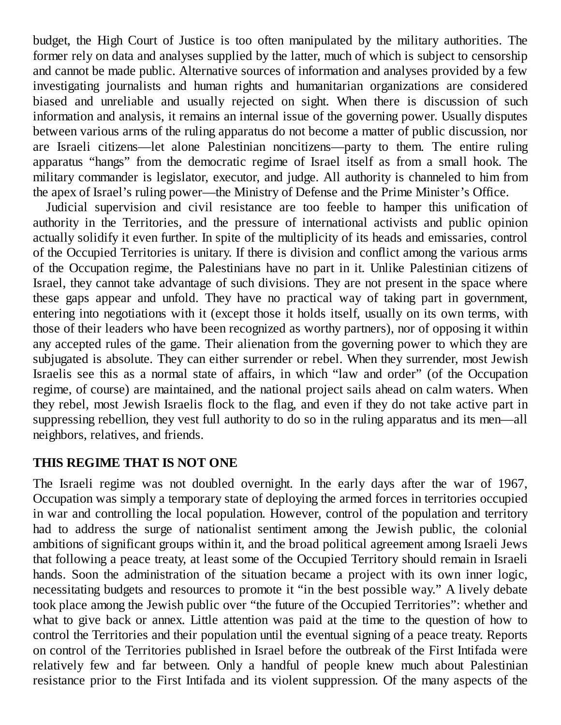budget, the High Court of Justice is too often manipulated by the military authorities. The former rely on data and analyses supplied by the latter, much of which is subject to censorship and cannot be made public. Alternative sources of information and analyses provided by a few investigating journalists and human rights and humanitarian organizations are considered biased and unreliable and usually rejected on sight. When there is discussion of such information and analysis, it remains an internal issue of the governing power. Usually disputes between various arms of the ruling apparatus do not become a matter of public discussion, nor are Israeli citizens—let alone Palestinian noncitizens—party to them. The entire ruling apparatus "hangs" from the democratic regime of Israel itself as from a small hook. The military commander is legislator, executor, and judge. All authority is channeled to him from the apex of Israel's ruling power—the Ministry of Defense and the Prime Minister's Office.

Judicial supervision and civil resistance are too feeble to hamper this unification of authority in the Territories, and the pressure of international activists and public opinion actually solidify it even further. In spite of the multiplicity of its heads and emissaries, control of the Occupied Territories is unitary. If there is division and conflict among the various arms of the Occupation regime, the Palestinians have no part in it. Unlike Palestinian citizens of Israel, they cannot take advantage of such divisions. They are not present in the space where these gaps appear and unfold. They have no practical way of taking part in government, entering into negotiations with it (except those it holds itself, usually on its own terms, with those of their leaders who have been recognized as worthy partners), nor of opposing it within any accepted rules of the game. Their alienation from the governing power to which they are subjugated is absolute. They can either surrender or rebel. When they surrender, most Jewish Israelis see this as a normal state of affairs, in which "law and order" (of the Occupation regime, of course) are maintained, and the national project sails ahead on calm waters. When they rebel, most Jewish Israelis flock to the flag, and even if they do not take active part in suppressing rebellion, they vest full authority to do so in the ruling apparatus and its men—all neighbors, relatives, and friends.

## **THIS REGIME THAT IS NOT ONE**

The Israeli regime was not doubled overnight. In the early days after the war of 1967, Occupation was simply a temporary state of deploying the armed forces in territories occupied in war and controlling the local population. However, control of the population and territory had to address the surge of nationalist sentiment among the Jewish public, the colonial ambitions of significant groups within it, and the broad political agreement among Israeli Jews that following a peace treaty, at least some of the Occupied Territory should remain in Israeli hands. Soon the administration of the situation became a project with its own inner logic, necessitating budgets and resources to promote it "in the best possible way." A lively debate took place among the Jewish public over "the future of the Occupied Territories": whether and what to give back or annex. Little attention was paid at the time to the question of how to control the Territories and their population until the eventual signing of a peace treaty. Reports on control of the Territories published in Israel before the outbreak of the First Intifada were relatively few and far between. Only a handful of people knew much about Palestinian resistance prior to the First Intifada and its violent suppression. Of the many aspects of the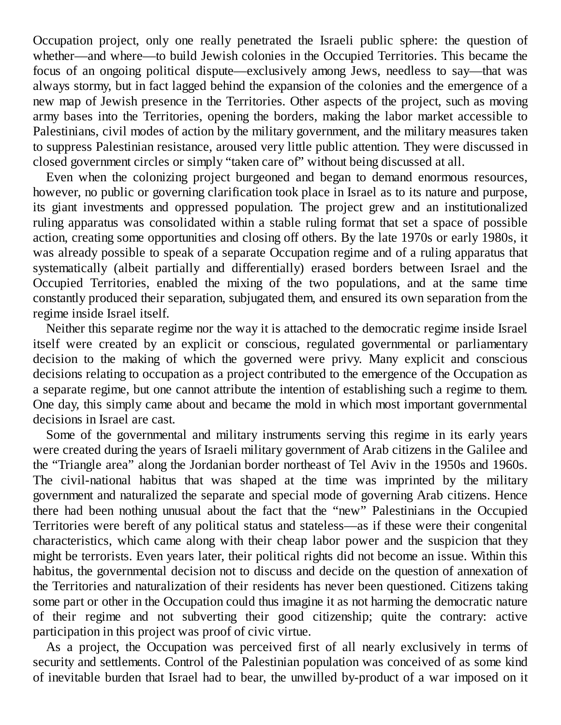Occupation project, only one really penetrated the Israeli public sphere: the question of whether—and where—to build Jewish colonies in the Occupied Territories. This became the focus of an ongoing political dispute—exclusively among Jews, needless to say—that was always stormy, but in fact lagged behind the expansion of the colonies and the emergence of a new map of Jewish presence in the Territories. Other aspects of the project, such as moving army bases into the Territories, opening the borders, making the labor market accessible to Palestinians, civil modes of action by the military government, and the military measures taken to suppress Palestinian resistance, aroused very little public attention. They were discussed in closed government circles or simply "taken care of" without being discussed at all.

Even when the colonizing project burgeoned and began to demand enormous resources, however, no public or governing clarification took place in Israel as to its nature and purpose, its giant investments and oppressed population. The project grew and an institutionalized ruling apparatus was consolidated within a stable ruling format that set a space of possible action, creating some opportunities and closing off others. By the late 1970s or early 1980s, it was already possible to speak of a separate Occupation regime and of a ruling apparatus that systematically (albeit partially and differentially) erased borders between Israel and the Occupied Territories, enabled the mixing of the two populations, and at the same time constantly produced their separation, subjugated them, and ensured its own separation from the regime inside Israel itself.

Neither this separate regime nor the way it is attached to the democratic regime inside Israel itself were created by an explicit or conscious, regulated governmental or parliamentary decision to the making of which the governed were privy. Many explicit and conscious decisions relating to occupation as a project contributed to the emergence of the Occupation as a separate regime, but one cannot attribute the intention of establishing such a regime to them. One day, this simply came about and became the mold in which most important governmental decisions in Israel are cast.

Some of the governmental and military instruments serving this regime in its early years were created during the years of Israeli military government of Arab citizens in the Galilee and the "Triangle area" along the Jordanian border northeast of Tel Aviv in the 1950s and 1960s. The civil-national habitus that was shaped at the time was imprinted by the military government and naturalized the separate and special mode of governing Arab citizens. Hence there had been nothing unusual about the fact that the "new" Palestinians in the Occupied Territories were bereft of any political status and stateless—as if these were their congenital characteristics, which came along with their cheap labor power and the suspicion that they might be terrorists. Even years later, their political rights did not become an issue. Within this habitus, the governmental decision not to discuss and decide on the question of annexation of the Territories and naturalization of their residents has never been questioned. Citizens taking some part or other in the Occupation could thus imagine it as not harming the democratic nature of their regime and not subverting their good citizenship; quite the contrary: active participation in this project was proof of civic virtue.

As a project, the Occupation was perceived first of all nearly exclusively in terms of security and settlements. Control of the Palestinian population was conceived of as some kind of inevitable burden that Israel had to bear, the unwilled by-product of a war imposed on it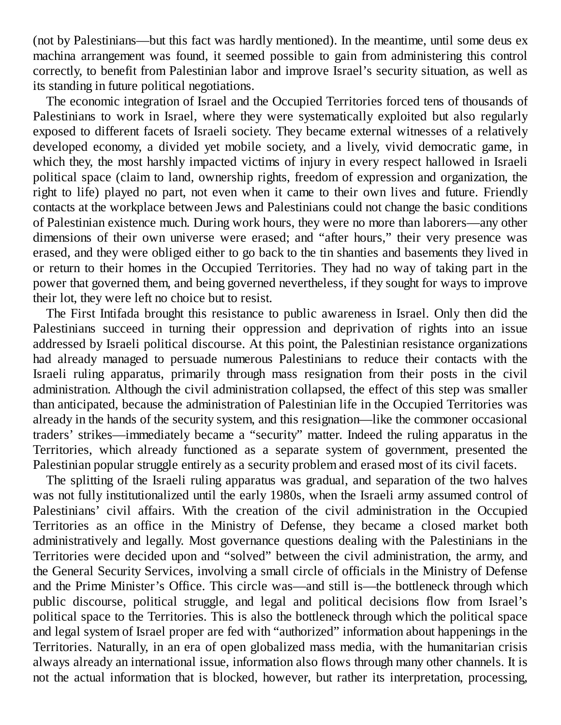(not by Palestinians—but this fact was hardly mentioned). In the meantime, until some deus ex machina arrangement was found, it seemed possible to gain from administering this control correctly, to benefit from Palestinian labor and improve Israel's security situation, as well as its standing in future political negotiations.

The economic integration of Israel and the Occupied Territories forced tens of thousands of Palestinians to work in Israel, where they were systematically exploited but also regularly exposed to different facets of Israeli society. They became external witnesses of a relatively developed economy, a divided yet mobile society, and a lively, vivid democratic game, in which they, the most harshly impacted victims of injury in every respect hallowed in Israeli political space (claim to land, ownership rights, freedom of expression and organization, the right to life) played no part, not even when it came to their own lives and future. Friendly contacts at the workplace between Jews and Palestinians could not change the basic conditions of Palestinian existence much. During work hours, they were no more than laborers—any other dimensions of their own universe were erased; and "after hours," their very presence was erased, and they were obliged either to go back to the tin shanties and basements they lived in or return to their homes in the Occupied Territories. They had no way of taking part in the power that governed them, and being governed nevertheless, if they sought for ways to improve their lot, they were left no choice but to resist.

The First Intifada brought this resistance to public awareness in Israel. Only then did the Palestinians succeed in turning their oppression and deprivation of rights into an issue addressed by Israeli political discourse. At this point, the Palestinian resistance organizations had already managed to persuade numerous Palestinians to reduce their contacts with the Israeli ruling apparatus, primarily through mass resignation from their posts in the civil administration. Although the civil administration collapsed, the effect of this step was smaller than anticipated, because the administration of Palestinian life in the Occupied Territories was already in the hands of the security system, and this resignation—like the commoner occasional traders' strikes—immediately became a "security" matter. Indeed the ruling apparatus in the Territories, which already functioned as a separate system of government, presented the Palestinian popular struggle entirely as a security problem and erased most of its civil facets.

The splitting of the Israeli ruling apparatus was gradual, and separation of the two halves was not fully institutionalized until the early 1980s, when the Israeli army assumed control of Palestinians' civil affairs. With the creation of the civil administration in the Occupied Territories as an office in the Ministry of Defense, they became a closed market both administratively and legally. Most governance questions dealing with the Palestinians in the Territories were decided upon and "solved" between the civil administration, the army, and the General Security Services, involving a small circle of officials in the Ministry of Defense and the Prime Minister's Office. This circle was—and still is—the bottleneck through which public discourse, political struggle, and legal and political decisions flow from Israel's political space to the Territories. This is also the bottleneck through which the political space and legal system of Israel proper are fed with "authorized" information about happenings in the Territories. Naturally, in an era of open globalized mass media, with the humanitarian crisis always already an international issue, information also flows through many other channels. It is not the actual information that is blocked, however, but rather its interpretation, processing,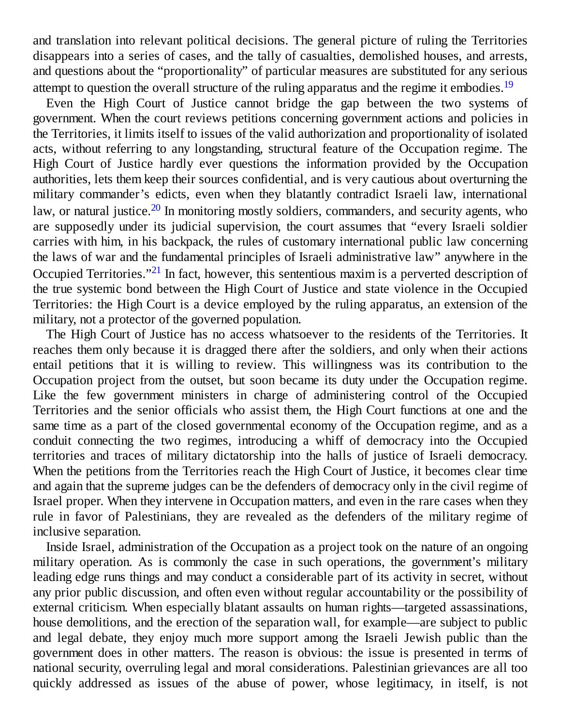and translation into relevant political decisions. The general picture of ruling the Territories disappears into a series of cases, and the tally of casualties, demolished houses, and arrests, and questions about the "proportionality" of particular measures are substituted for any serious attempt to question the overall structure of the ruling apparatus and the regime it embodies.<sup>19</sup>

Even the High Court of Justice cannot bridge the gap between the two systems of government. When the court reviews petitions concerning government actions and policies in the Territories, it limits itself to issues of the valid authorization and proportionality of isolated acts, without referring to any longstanding, structural feature of the Occupation regime. The High Court of Justice hardly ever questions the information provided by the Occupation authorities, lets them keep their sources confidential, and is very cautious about overturning the military commander's edicts, even when they blatantly contradict Israeli law, international law, or natural justice.<sup>20</sup> In monitoring mostly soldiers, commanders, and security agents, who are supposedly under its judicial supervision, the court assumes that "every Israeli soldier carries with him, in his backpack, the rules of customary international public law concerning the laws of war and the fundamental principles of Israeli administrative law" anywhere in the Occupied Territories."<sup>21</sup> In fact, however, this sententious maxim is a perverted description of the true systemic bond between the High Court of Justice and state violence in the Occupied Territories: the High Court is a device employed by the ruling apparatus, an extension of the military, not a protector of the governed population.

The High Court of Justice has no access whatsoever to the residents of the Territories. It reaches them only because it is dragged there after the soldiers, and only when their actions entail petitions that it is willing to review. This willingness was its contribution to the Occupation project from the outset, but soon became its duty under the Occupation regime. Like the few government ministers in charge of administering control of the Occupied Territories and the senior officials who assist them, the High Court functions at one and the same time as a part of the closed governmental economy of the Occupation regime, and as a conduit connecting the two regimes, introducing a whiff of democracy into the Occupied territories and traces of military dictatorship into the halls of justice of Israeli democracy. When the petitions from the Territories reach the High Court of Justice, it becomes clear time and again that the supreme judges can be the defenders of democracy only in the civil regime of Israel proper. When they intervene in Occupation matters, and even in the rare cases when they rule in favor of Palestinians, they are revealed as the defenders of the military regime of inclusive separation.

Inside Israel, administration of the Occupation as a project took on the nature of an ongoing military operation. As is commonly the case in such operations, the government's military leading edge runs things and may conduct a considerable part of its activity in secret, without any prior public discussion, and often even without regular accountability or the possibility of external criticism. When especially blatant assaults on human rights—targeted assassinations, house demolitions, and the erection of the separation wall, for example—are subject to public and legal debate, they enjoy much more support among the Israeli Jewish public than the government does in other matters. The reason is obvious: the issue is presented in terms of national security, overruling legal and moral considerations. Palestinian grievances are all too quickly addressed as issues of the abuse of power, whose legitimacy, in itself, is not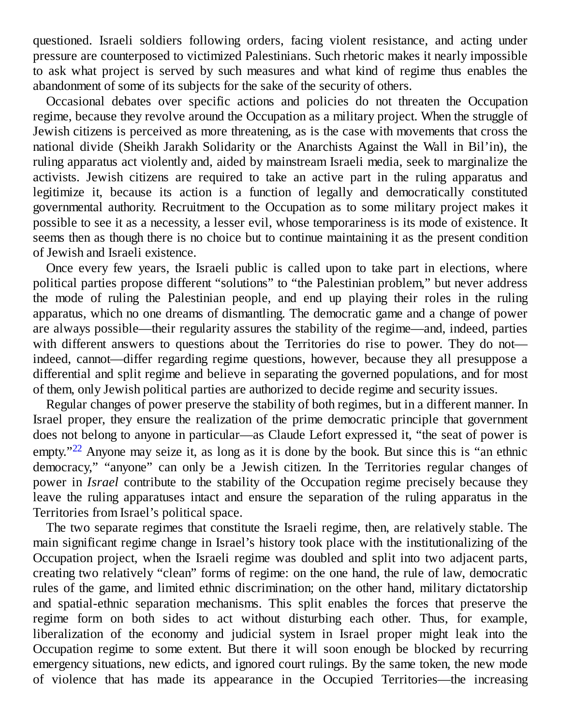questioned. Israeli soldiers following orders, facing violent resistance, and acting under pressure are counterposed to victimized Palestinians. Such rhetoric makes it nearly impossible to ask what project is served by such measures and what kind of regime thus enables the abandonment of some of its subjects for the sake of the security of others.

Occasional debates over specific actions and policies do not threaten the Occupation regime, because they revolve around the Occupation as a military project. When the struggle of Jewish citizens is perceived as more threatening, as is the case with movements that cross the national divide (Sheikh Jarakh Solidarity or the Anarchists Against the Wall in Bil'in), the ruling apparatus act violently and, aided by mainstream Israeli media, seek to marginalize the activists. Jewish citizens are required to take an active part in the ruling apparatus and legitimize it, because its action is a function of legally and democratically constituted governmental authority. Recruitment to the Occupation as to some military project makes it possible to see it as a necessity, a lesser evil, whose temporariness is its mode of existence. It seems then as though there is no choice but to continue maintaining it as the present condition of Jewish and Israeli existence.

Once every few years, the Israeli public is called upon to take part in elections, where political parties propose different "solutions" to "the Palestinian problem," but never address the mode of ruling the Palestinian people, and end up playing their roles in the ruling apparatus, which no one dreams of dismantling. The democratic game and a change of power are always possible—their regularity assures the stability of the regime—and, indeed, parties with different answers to questions about the Territories do rise to power. They do not indeed, cannot—differ regarding regime questions, however, because they all presuppose a differential and split regime and believe in separating the governed populations, and for most of them, only Jewish political parties are authorized to decide regime and security issues.

Regular changes of power preserve the stability of both regimes, but in a different manner. In Israel proper, they ensure the realization of the prime democratic principle that government does not belong to anyone in particular—as Claude Lefort expressed it, "the seat of power is empty."<sup>22</sup> Anyone may seize it, as long as it is done by the book. But since this is "an ethnic democracy," "anyone" can only be a Jewish citizen. In the Territories regular changes of power in *Israel* contribute to the stability of the Occupation regime precisely because they leave the ruling apparatuses intact and ensure the separation of the ruling apparatus in the Territories from Israel's political space.

The two separate regimes that constitute the Israeli regime, then, are relatively stable. The main significant regime change in Israel's history took place with the institutionalizing of the Occupation project, when the Israeli regime was doubled and split into two adjacent parts, creating two relatively "clean" forms of regime: on the one hand, the rule of law, democratic rules of the game, and limited ethnic discrimination; on the other hand, military dictatorship and spatial-ethnic separation mechanisms. This split enables the forces that preserve the regime form on both sides to act without disturbing each other. Thus, for example, liberalization of the economy and judicial system in Israel proper might leak into the Occupation regime to some extent. But there it will soon enough be blocked by recurring emergency situations, new edicts, and ignored court rulings. By the same token, the new mode of violence that has made its appearance in the Occupied Territories—the increasing